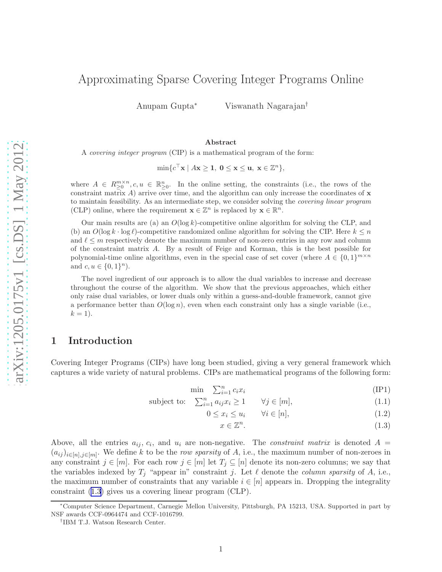# <span id="page-0-0"></span>Approximating Sparse Covering Integer Programs Online

Anupam Gupta<sup>∗</sup> Viswanath Nagarajan†

#### Abstract

A covering integer program (CIP) is a mathematical program of the form:

 $\min\{c^{\top} \mathbf{x} \mid A\mathbf{x} \geq \mathbf{1}, \ \mathbf{0} \leq \mathbf{x} \leq \mathbf{u}, \ \mathbf{x} \in \mathbb{Z}^n\},\$ 

where  $A \in R_{\geq 0}^{m \times n}, c, u \in \mathbb{R}_{\geq 0}^n$ . In the online setting, the constraints (i.e., the rows of the constraint matrix  $A$ ) arrive over time, and the algorithm can only increase the coordinates of  $\bf{x}$ to maintain feasibility. As an intermediate step, we consider solving the covering linear program (CLP) online, where the requirement  $\mathbf{x} \in \mathbb{Z}^n$  is replaced by  $\mathbf{x} \in \mathbb{R}^n$ .

Our main results are (a) an  $O(\log k)$ -competitive online algorithm for solving the CLP, and (b) an  $O(\log k \cdot \log \ell)$ -competitive randomized online algorithm for solving the CIP. Here  $k \leq n$ and  $\ell \leq m$  respectively denote the maximum number of non-zero entries in any row and column of the constraint matrix A. By a result of Feige and Korman, this is the best possible for polynomial-time online algorithms, even in the special case of set cover (where  $A \in \{0,1\}^{m \times n}$ and  $c, u \in \{0, 1\}^n$ .

The novel ingredient of our approach is to allow the dual variables to increase and decrease throughout the course of the algorithm. We show that the previous approaches, which either only raise dual variables, or lower duals only within a guess-and-double framework, cannot give a performance better than  $O(\log n)$ , even when each constraint only has a single variable (i.e.,  $k = 1$ .

### 1 Introduction

Covering Integer Programs (CIPs) have long been studied, giving a very general framework which captures a wide variety of natural problems. CIPs are mathematical programs of the following form:

$$
\min \quad \sum_{i=1}^{n} c_i x_i \tag{IP1}
$$

$$
subject to: \quad \sum_{i=1}^{n} a_{ij} x_i \ge 1 \qquad \forall j \in [m], \tag{1.1}
$$

$$
0 \le x_i \le u_i \qquad \forall i \in [n], \tag{1.2}
$$

$$
x \in \mathbb{Z}^n. \tag{1.3}
$$

Above, all the entries  $a_{ij}, c_i$ , and  $u_i$  are non-negative. The *constraint matrix* is denoted  $A =$  $(a_{ij})_{i\in[n],j\in[m]}$ . We define k to be the row sparsity of A, i.e., the maximum number of non-zeroes in any constraint  $j \in [m]$ . For each row  $j \in [m]$  let  $T_j \subseteq [n]$  denote its non-zero columns; we say that the variables indexed by  $T_j$  "appear in" constraint j. Let  $\ell$  denote the *column sparsity* of A, i.e., the maximum number of constraints that any variable  $i \in [n]$  appears in. Dropping the integrality constraint (1.3) gives us a covering linear program (CLP).

<sup>∗</sup>Computer Science Department, Carnegie Mellon University, Pittsburgh, PA 15213, USA. Supported in part by NSF awards CCF-0964474 and CCF-1016799.

<sup>†</sup> IBM T.J. Watson Research Center.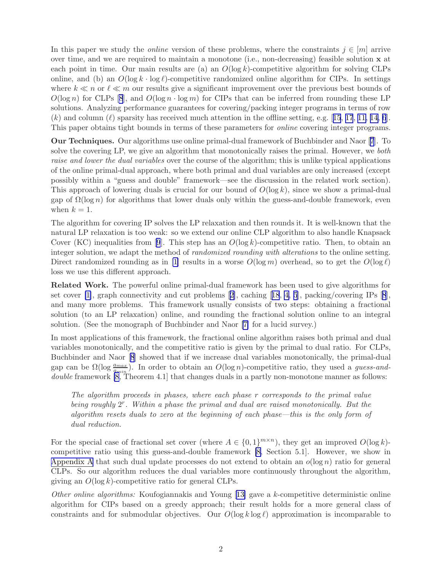In this paper we study the *online* version of these problems, where the constraints  $j \in [m]$  arrive over time, and we are required to maintain a monotone (i.e., non-decreasing) feasible solution  $x$  at each point in time. Our main results are (a) an  $O(\log k)$ -competitive algorithm for solving CLPs online, and (b) an  $O(\log k \cdot \log \ell)$ -competitive randomized online algorithm for CIPs. In settings where  $k \ll n$  or  $\ell \ll m$  our results give a significant improvement over the previous best bounds of  $O(\log n)$  for CLPs [\[8](#page-13-0)], and  $O(\log n \cdot \log m)$  for CIPs that can be inferred from rounding these LP solutions. Analyzing performance guarantees for covering/packing integer programs in terms of row (k)and column (l) sparsity has received much attention in the offline setting, e.g. [[15](#page-13-0), [17](#page-13-0), [11,](#page-13-0) [14,](#page-13-0) [6](#page-13-0)]. This paper obtains tight bounds in terms of these parameters for online covering integer programs.

Our Techniques. Our algorithms use online primal-dual framework of Buchbinder and Naor [\[7](#page-13-0)]. To solve the covering LP, we give an algorithm that monotonically raises the primal. However, we both raise and lower the dual variables over the course of the algorithm; this is unlike typical applications of the online primal-dual approach, where both primal and dual variables are only increased (except possibly within a "guess and double" framework—see the discussion in the related work section). This approach of lowering duals is crucial for our bound of  $O(\log k)$ , since we show a primal-dual gap of  $\Omega(\log n)$  for algorithms that lower duals only within the guess-and-double framework, even when  $k = 1$ .

The algorithm for covering IP solves the LP relaxation and then rounds it. It is well-known that the natural LP relaxation is too weak: so we extend our online CLP algorithm to also handle Knapsack Cover(KC) inequalities from [[9](#page-13-0)]. This step has an  $O(\log k)$ -competitive ratio. Then, to obtain an integer solution, we adapt the method of *randomized rounding with alterations* to the online setting. Direct randomized rounding as in [\[1](#page-12-0)] results in a worse  $O(\log m)$  overhead, so to get the  $O(\log \ell)$ loss we use this different approach.

Related Work. The powerful online primal-dual framework has been used to give algorithms for set cover [\[1\]](#page-12-0), graph connectivity and cut problems[[2](#page-12-0)], caching[[18](#page-13-0), [4,](#page-13-0) [5](#page-13-0)], packing/covering IPs[[8](#page-13-0)], and many more problems. This framework usually consists of two steps: obtaining a fractional solution (to an LP relaxation) online, and rounding the fractional solution online to an integral solution. (See the monograph of Buchbinder and Naor [\[7\]](#page-13-0) for a lucid survey.)

In most applications of this framework, the fractional online algorithm raises both primal and dual variables monotonically, and the competitive ratio is given by the primal to dual ratio. For CLPs, Buchbinder and Naor[[8](#page-13-0)] showed that if we increase dual variables monotonically, the primal-dual gap can be  $\Omega(\log \frac{a_{max}}{a_{min}})$ . In order to obtain an  $O(\log n)$ -competitive ratio, they used a guess-and-double framework [\[8](#page-13-0), Theorem 4.1] that changes duals in a partly non-monotone manner as follows:

The algorithm proceeds in phases, where each phase r corresponds to the primal value being roughly  $2<sup>r</sup>$ . Within a phase the primal and dual are raised monotonically. But the algorithm resets duals to zero at the beginning of each phase—this is the only form of dual reduction.

For the special case of fractional set cover (where  $A \in \{0,1\}^{m \times n}$ ), they get an improved  $O(\log k)$ competitive ratio using this guess-and-double framework [\[8,](#page-13-0) Section 5.1]. However, we show in [Appendix A](#page-13-0) that such dual update processes do not extend to obtain an  $o(\log n)$  ratio for general CLPs. So our algorithm reduces the dual variables more continuously throughout the algorithm, giving an  $O(\log k)$ -competitive ratio for general CLPs.

Other online algorithms: Koufogiannakis and Young[[13\]](#page-13-0) gave a k-competitive deterministic online algorithm for CIPs based on a greedy approach; their result holds for a more general class of constraints and for submodular objectives. Our  $O(\log k \log \ell)$  approximation is incomparable to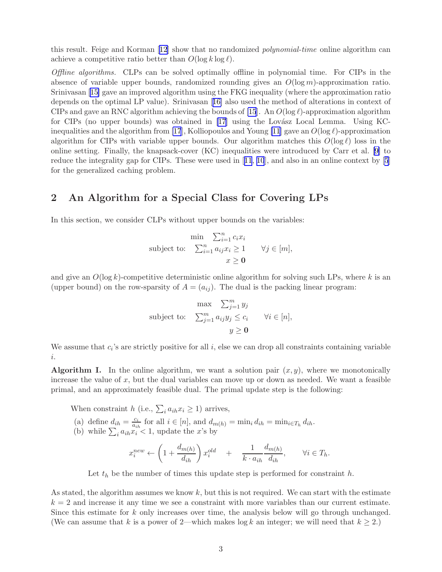<span id="page-2-0"></span>this result. Feige and Korman [\[12\]](#page-13-0) show that no randomized polynomial-time online algorithm can achieve a competitive ratio better than  $O(\log k \log \ell)$ .

Offline algorithms. CLPs can be solved optimally offline in polynomial time. For CIPs in the absence of variable upper bounds, randomized rounding gives an  $O(\log m)$ -approximation ratio. Srinivasan [\[15\]](#page-13-0) gave an improved algorithm using the FKG inequality (where the approximation ratio depends on the optimal LP value). Srinivasan[[16\]](#page-13-0) also used the method of alterations in context of CIPs and gave an RNC algorithm achieving the bounds of [\[15](#page-13-0)]. An  $O(\log \ell)$ -approximation algorithm for CIPs (no upper bounds) was obtained in  $[17]$  using the Lovász Local Lemma. Using KC-inequalities and the algorithm from [\[17](#page-13-0)], Kolliopoulos and Young [\[11](#page-13-0)] gave an  $O(\log \ell)$ -approximation algorithm for CIPs with variable upper bounds. Our algorithm matches this  $O(\log \ell)$  loss in the online setting. Finally, the knapsack-cover (KC) inequalities were introduced by Carr et al. [\[9\]](#page-13-0) to reduce the integrality gap for CIPs. These were used in[[11](#page-13-0), [10](#page-13-0)], and also in an online context by[[5](#page-13-0)] for the generalized caching problem.

### 2 An Algorithm for a Special Class for Covering LPs

In this section, we consider CLPs without upper bounds on the variables:

$$
\min \sum_{i=1}^{n} c_i x_i
$$
\n
$$
\text{subject to:} \quad \sum_{i=1}^{n} a_{ij} x_i \ge 1 \qquad \forall j \in [m],
$$
\n
$$
x \ge 0
$$

and give an  $O(\log k)$ -competitive deterministic online algorithm for solving such LPs, where k is an (upper bound) on the row-sparsity of  $A = (a_{ij})$ . The dual is the packing linear program:

$$
\max \sum_{j=1}^{m} y_j
$$
\nsubject to: 
$$
\sum_{j=1}^{m} a_{ij} y_j \le c_i \quad \forall i \in [n],
$$
\n
$$
y \ge 0
$$

We assume that  $c_i$ 's are strictly positive for all  $i$ , else we can drop all constraints containing variable i.

**Algorithm I.** In the online algorithm, we want a solution pair  $(x, y)$ , where we monotonically increase the value of  $x$ , but the dual variables can move up or down as needed. We want a feasible primal, and an approximately feasible dual. The primal update step is the following:

When constraint h (i.e.,  $\sum_{i} a_{ih} x_i \ge 1$ ) arrives,

- (a) define  $d_{ih} = \frac{c_i}{a_{ii}}$  $\frac{c_i}{a_{ih}}$  for all  $i \in [n]$ , and  $d_{m(h)} = \min_i d_{ih} = \min_{i \in T_h} d_{ih}$ .
- (b) while  $\sum_i a_{ih} x_i < 1$ , update the x's by

$$
x_i^{new} \leftarrow \left(1 + \frac{d_{m(h)}}{d_{ih}}\right) x_i^{old} + \frac{1}{k \cdot a_{ih}} \frac{d_{m(h)}}{d_{ih}}, \qquad \forall i \in T_h.
$$

Let  $t<sub>h</sub>$  be the number of times this update step is performed for constraint h.

As stated, the algorithm assumes we know  $k$ , but this is not required. We can start with the estimate  $k = 2$  and increase it any time we see a constraint with more variables than our current estimate. Since this estimate for  $k$  only increases over time, the analysis below will go through unchanged. (We can assume that k is a power of 2—which makes  $\log k$  an integer; we will need that  $k \geq 2$ .)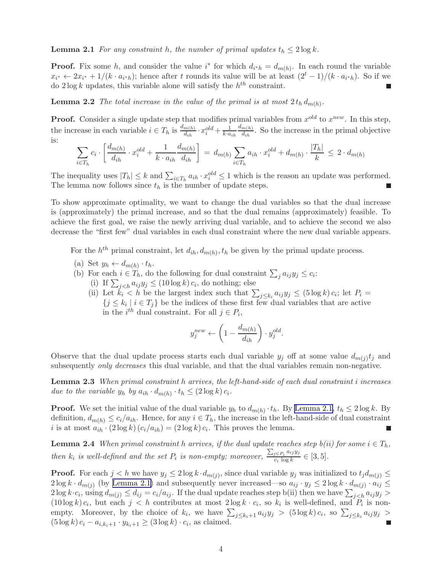<span id="page-3-0"></span>**Lemma 2.1** For any constraint h, the number of primal updates  $t_h \leq 2 \log k$ .

**Proof.** Fix some h, and consider the value  $i^*$  for which  $d_{i^*h} = d_{m(h)}$ . In each round the variable  $x_{i^*} \leftarrow 2x_{i^*} + 1/(k \cdot a_{i^*h})$ ; hence after t rounds its value will be at least  $(2^t - 1)/(k \cdot a_{i^*h})$ . So if we do  $2 \log k$  updates, this variable alone will satisfy the  $h^{th}$  constraint.

**Lemma 2.2** The total increase in the value of the primal is at most  $2 t_h d_{m(h)}$ .

**Proof.** Consider a single update step that modifies primal variables from  $x^{old}$  to  $x^{new}$ . In this step, the increase in each variable  $i \in T_h$  is  $\frac{d_{m(h)}}{d_{ih}} \cdot x_i^{old} + \frac{1}{k \cdot a_{ih}}$  $d_{m(h)}$  $\frac{m(h)}{d_{ih}}$ . So the increase in the primal objective is:

$$
\sum_{i \in T_h} c_i \cdot \left[ \frac{d_{m(h)}}{d_{ih}} \cdot x_i^{old} + \frac{1}{k \cdot a_{ih}} \frac{d_{m(h)}}{d_{ih}} \right] = d_{m(h)} \sum_{i \in T_h} a_{ih} \cdot x_i^{old} + d_{m(h)} \cdot \frac{|T_h|}{k} \le 2 \cdot d_{m(h)}
$$

The inequality uses  $|T_h| \leq k$  and  $\sum_{i \in T_h} a_{ih} \cdot x_i^{old} \leq 1$  which is the reason an update was performed. The lemma now follows since  $t_h$  is the number of update steps. г

To show approximate optimality, we want to change the dual variables so that the dual increase is (approximately) the primal increase, and so that the dual remains (approximately) feasible. To achieve the first goal, we raise the newly arriving dual variable, and to achieve the second we also decrease the "first few" dual variables in each dual constraint where the new dual variable appears.

For the  $h^{th}$  primal constraint, let  $d_{ih}, d_{m(h)}, t_h$  be given by the primal update process.

- (a) Set  $y_h \leftarrow d_{m(h)} \cdot t_h$ .
- (b) For each  $i \in T_h$ , do the following for dual constraint  $\sum_j a_{ij} y_j \leq c_i$ :
	- (i) If  $\sum_{j < h} a_{ij} y_j \leq (10 \log k) c_i$ , do nothing; else
	- (ii) Let  $k_i < h$  be the largest index such that  $\sum_{j \leq k_i} a_{ij} y_j \leq (5 \log k) c_i$ ; let  $P_i =$  $\{j \leq k_i \mid i \in T_j\}$  be the indices of these first few dual variables that are active in the  $i^{th}$  dual constraint. For all  $j \in P_i$ ,

$$
y^{new}_j \leftarrow \left(1-\frac{d_{m(h)}}{d_{ih}}\right)\cdot y^{old}_j.
$$

Observe that the dual update process starts each dual variable  $y_j$  off at some value  $d_{m(j)}t_j$  and subsequently *only decreases* this dual variable, and that the dual variables remain non-negative.

Lemma 2.3 When primal constraint h arrives, the left-hand-side of each dual constraint i increases due to the variable  $y_h$  by  $a_{ih} \cdot d_{m(h)} \cdot t_h \leq (2 \log k) c_i$ .

**Proof.** We set the initial value of the dual variable  $y_h$  to  $d_{m(h)} \cdot t_h$ . By [Lemma 2.1,](#page-2-0)  $t_h \leq 2 \log k$ . By definition,  $d_{m(h)} \leq c_i/a_{ih}$ . Hence, for any  $i \in T_h$ , the increase in the left-hand-side of dual constraint i is at most  $a_{ih} \cdot (2 \log k) (c_i/a_{ih}) = (2 \log k) c_i$ . This proves the lemma.

**Lemma 2.4** When primal constraint h arrives, if the dual update reaches step  $b(ii)$  for some  $i \in T_h$ , then  $k_i$  is well-defined and the set  $P_i$  is non-empty; moreover,  $\frac{\sum_{j\in P_i} a_{ij} y_j}{c_i \log k}$  $\frac{\partial e P_i}{\partial c_i \log k} \in [3, 5].$ 

**Proof.** For each  $j < h$  we have  $y_j \leq 2 \log k \cdot d_{m(j)}$ , since dual variable  $y_j$  was initialized to  $t_j d_{m(j)} \leq$  $2\log k \cdot d_{m(j)}$  (by [Lemma 2.1\)](#page-2-0) and subsequently never increased—so  $a_{ij} \cdot y_j \leq 2\log k \cdot d_{m(j)} \cdot a_{ij} \leq$  $2\log k \cdot c_i$ , using  $d_{m(j)} \leq d_{ij} = c_i/a_{ij}$ . If the dual update reaches step b(ii) then we have  $\sum_{j < h} a_{ij} y_j$  $(10\log k)c_i$ , but each  $j < h$  contributes at most  $2\log k \cdot c_i$ , so  $k_i$  is well-defined, and  $P_i$  is nonempty. Moreover, by the choice of  $k_i$ , we have  $\sum_{j \leq k_i+1} a_{ij} y_j > (5 \log k) c_i$ , so  $\sum_{j \leq k_i} a_{ij} y_j >$  $(5 \log k) c_i - a_{i,k_i+1} \cdot y_{k_i+1} \ge (3 \log k) \cdot c_i$ , as claimed.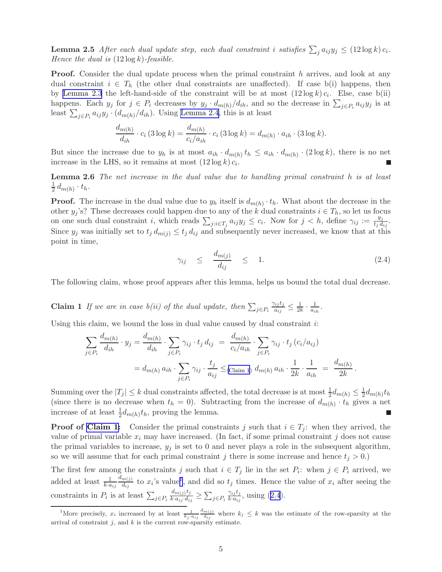<span id="page-4-0"></span>**Lemma 2.5** After each dual update step, each dual constraint i satisfies  $\sum_j a_{ij}y_j \leq (12 \log k) c_i$ . Hence the dual is  $(12 \log k)$ -feasible.

**Proof.** Consider the dual update process when the primal constraint h arrives, and look at any dual constraint  $i \in T_h$  (the other dual constraints are unaffected). If case b(i) happens, then by [Lemma 2.3](#page-3-0) the left-hand-side of the constraint will be at most  $(12 \log k)c_i$ . Else, case b(ii) happens. Each  $y_j$  for  $j \in P_i$  decreases by  $y_j \cdot d_{m(h)}/d_{ih}$ , and so the decrease in  $\sum_{j \in P_i} a_{ij} y_j$  is at least  $\sum_{j \in P_i} a_{ij} y_j \cdot (d_{m(h)}/d_{ih})$ . Using [Lemma 2.4](#page-3-0), this is at least

$$
\frac{d_{m(h)}}{d_{ih}} \cdot c_i \left( 3 \log k \right) = \frac{d_{m(h)}}{c_i/a_{ih}} \cdot c_i \left( 3 \log k \right) = d_{m(h)} \cdot a_{ih} \cdot (3 \log k).
$$

But since the increase due to  $y_h$  is at most  $a_{ih} \cdot d_{m(h)} t_h \le a_{ih} \cdot d_{m(h)} \cdot (2 \log k)$ , there is no net increase in the LHS, so it remains at most  $(12 \log k) c_i$ .

Lemma 2.6 The net increase in the dual value due to handling primal constraint h is at least 1  $rac{1}{2}d_{m(h)}\cdot t_h.$ 

**Proof.** The increase in the dual value due to  $y_h$  itself is  $d_{m(h)} \cdot t_h$ . What about the decrease in the other  $y_j$ 's? These decreases could happen due to any of the k dual constraints  $i \in T_h$ , so let us focus on one such dual constraint i, which reads  $\sum_{j:i\in T_j} a_{ij}y_j \leq c_i$ . Now for  $j < h$ , define  $\gamma_{ij} := \frac{y_j}{t_j d}$  $\frac{y_j}{t_j d_{ij}}.$ Since  $y_j$  was initially set to  $t_j d_{m(j)} \leq t_j d_{ij}$  and subsequently never increased, we know that at this point in time,

$$
\gamma_{ij} \le \frac{d_{m(j)}}{d_{ij}} \le 1. \tag{2.4}
$$

.

The following claim, whose proof appears after this lemma, helps us bound the total dual decrease.

**Claim 1** If we are in case  $b(ii)$  of the dual update, then  $\sum_{j \in P_i}$  $\gamma_{ij}$ tj  $\frac{a_{ij}t_j}{a_{ij}} \leq \frac{1}{2k} \cdot \frac{1}{a_{ih}}.$ 

Using this claim, we bound the loss in dual value caused by dual constraint  $i$ :

$$
\sum_{j \in P_i} \frac{d_{m(h)}}{d_{ih}} \cdot y_j = \frac{d_{m(h)}}{d_{ih}} \cdot \sum_{j \in P_i} \gamma_{ij} \cdot t_j d_{ij} = \frac{d_{m(h)}}{c_i/a_{ih}} \cdot \sum_{j \in P_i} \gamma_{ij} \cdot t_j (c_i/a_{ij})
$$
  
=  $d_{m(h)} a_{ih} \cdot \sum_{j \in P_i} \gamma_{ij} \cdot \frac{t_j}{a_{ij}} \leq (\text{Claim 1}) d_{m(h)} a_{ih} \cdot \frac{1}{2k} \cdot \frac{1}{a_{ih}} = \frac{d_{m(h)}}{2k}$ 

Summing over the  $|T_j| \leq k$  dual constraints affected, the total decrease is at most  $\frac{1}{2}d_{m(h)} \leq \frac{1}{2}$  $\frac{1}{2}d_{m(h)}t_h$ (since there is no decrease when  $t_h = 0$ ). Subtracting from the increase of  $d_{m(h)} \cdot t_h$  gives a net increase of at least  $\frac{1}{2}d_{m(h)}t_h$ , proving the lemma.

**Proof of Claim 1:** Consider the primal constraints j such that  $i \in T_i$ : when they arrived, the value of primal variable  $x_i$  may have increased. (In fact, if some primal constraint j does not cause the primal variables to increase,  $y_j$  is set to 0 and never plays a role in the subsequent algorithm, so we will assume that for each primal constraint j there is some increase and hence  $t_i > 0$ .)

The first few among the constraints j such that  $i \in T_j$  lie in the set  $P_i$ : when  $j \in P_i$  arrived, we added at least  $\frac{1}{k \cdot a_{ij}}$  $d_{m(j)}$  $\frac{d m(j)}{d_{ij}}$  to  $x_i$ 's value<sup>1</sup>, and did so  $t_j$  times. Hence the value of  $x_i$  after seeing the constraints in  $P_i$  is at least  $\sum_{j \in P_i}$  $d_{m(j)}t_j$  $\frac{a_{m(j)}v_j}{k \cdot a_{ij} \cdot d_{ij}} \geq \sum_{j \in P_i}$  $\gamma_{ij}$ *t<sub>j</sub>*  $\frac{\gamma_{ij}\iota_j}{k \cdot a_{ij}},$  using  $(2.4).$ 

<sup>&</sup>lt;sup>1</sup>More precisely,  $x_i$  increased by at least  $\frac{1}{k_j \cdot a_{ij}}$  $d_{m(j)}$  $\frac{d m(j)}{d_{ij}}$  where  $k_j \leq k$  was the estimate of the row-sparsity at the arrival of constraint  $j$ , and  $k$  is the current row-sparsity estimate.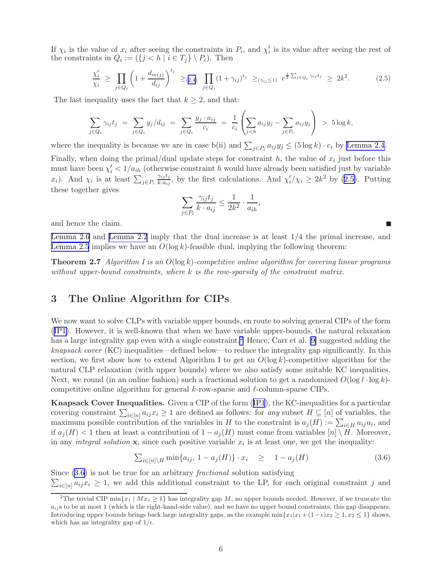If  $\chi_i$  is the value of  $x_i$  after seeing the constraints in  $P_i$ , and  $\chi'_i$  is its value after seeing the rest of the constraints in  $Q_i := (\{j \le h \mid i \in T_j\} \setminus P_i)$ . Then

$$
\frac{\chi'_i}{\chi_i} \ge \prod_{j \in Q_i} \left( 1 + \frac{d_{m(j)}}{d_{ij}} \right)^{t_j} \ge_{(2.4)} \prod_{j \in Q_i} (1 + \gamma_{ij})^{t_j} \ge_{(\gamma_{ij} \le 1)} e^{\frac{1}{2} \sum_{j \in Q_i} \gamma_{ij} t_j} \ge 2k^2.
$$
 (2.5)

The last inequality uses the fact that  $k \geq 2$ , and that:

$$
\sum_{j \in Q_i} \gamma_{ij} t_j = \sum_{j \in Q_i} y_j / d_{ij} = \sum_{j \in Q_i} \frac{y_j \cdot a_{ij}}{c_i} = \frac{1}{c_i} \left( \sum_{j < h} a_{ij} y_j - \sum_{j \in P_i} a_{ij} y_j \right) > 5 \log k,
$$

where the inequality is because we are in case b(ii) and  $\sum_{j \in P_i} a_{ij} y_j \leq (5 \log k) \cdot c_i$  by [Lemma 2.4.](#page-3-0)

Finally, when doing the primal/dual update steps for constraint h, the value of  $x_i$  just before this must have been  $\chi'_i < 1/a_{ih}$  (otherwise constraint h would have already been satisfied just by variable  $x_i$ ). And  $\chi_i$  is at least  $\sum_{j \in P_i}$  $\gamma_{ij}$ *t<sub>j</sub>*  $\frac{\gamma_{ij}t_j}{k \cdot a_{ij}}$ , by the first calculations. And  $\chi'_i/\chi_i \geq 2k^2$  by (2.5). Putting these together gives

$$
\sum_{j \in P_i} \frac{\gamma_{ij} t_j}{k \cdot a_{ij}} \le \frac{1}{2k^2} \cdot \frac{1}{a_{ih}},
$$

and hence the claim.

[Lemma 2.6](#page-4-0) and [Lemma 2.2](#page-3-0) imply that the dual increase is at least 1/4 the primal increase, and [Lemma 2.5](#page-4-0) implies we have an  $O(\log k)$ -feasible dual, implying the following theorem:

г

**Theorem 2.7** Algorithm I is an  $O(\log k)$ -competitive online algorithm for covering linear programs without upper-bound constraints, where  $k$  is the row-sparsity of the constraint matrix.

### 3 The Online Algorithm for CIPs

We now want to solve CLPs with variable upper bounds, en route to solving general CIPs of the form ([IP1\)](#page-0-0). However, it is well-known that when we have variable upper-bounds, the natural relaxation has a large integrality gap even with a single constraint.<sup>2</sup> Hence, Carr et al. [\[9\]](#page-13-0) suggested adding the knapsack cover (KC) inequalities—defined below—to reduce the integrality gap significantly. In this section, we first show how to extend Algorithm I to get an  $O(\log k)$ -competitive algorithm for the natural CLP relaxation (with upper bounds) where we also satisfy some suitable KC inequalities. Next, we round (in an online fashion) such a fractional solution to get a randomized  $O(\log \ell \cdot \log k)$ competitive online algorithm for general k-row-sparse and ℓ-column-sparse CIPs.

Knapsack Cover Inequalities. Given a CIP of the form([IP1](#page-0-0)), the KC-inequalities for a particular covering constraint  $\sum_{i\in[n]} a_{ij}x_i \geq 1$  are defined as follows: for any subset  $H \subseteq [n]$  of variables, the maximum possible contribution of the variables in H to the constraint is  $a_j(H) := \sum_{i \in H} a_{ij} u_i$ , and if  $a_j(H) < 1$  then at least a contribution of  $1 - a_j(H)$  must come from variables  $[n] \setminus H$ . Moreover, in any *integral solution*  $\mathbf{x}$ , since each positive variable  $x_i$  is at least one, we get the inequality:

$$
\sum_{i \in [n] \backslash H} \min\{a_{ij}, 1 - a_j(H)\} \cdot x_i \quad \geq \quad 1 - a_j(H) \tag{3.6}
$$

 $\sum_{i\in[n]} a_{ij}x_i \geq 1$ , we add this additional constraint to the LP, for each original constraint j and Since  $(3.6)$  is not be true for an arbitrary *fractional* solution satisfying

<sup>&</sup>lt;sup>2</sup>The trivial CIP min $\{x_1 \mid Mx_1 \geq 1\}$  has integrality gap M, no upper bounds needed. However, if we truncate the  $a_{i}$  is to be at most 1 (which is the right-hand-side value), and we have no upper bound constraints, this gap disappears. Introducing upper bounds brings back large integrality gaps, as the example  $\min\{x_1|x_1+(1-\epsilon)x_2\geq 1, x_2\leq 1\}$  shows, which has an integrality gap of  $1/\epsilon$ .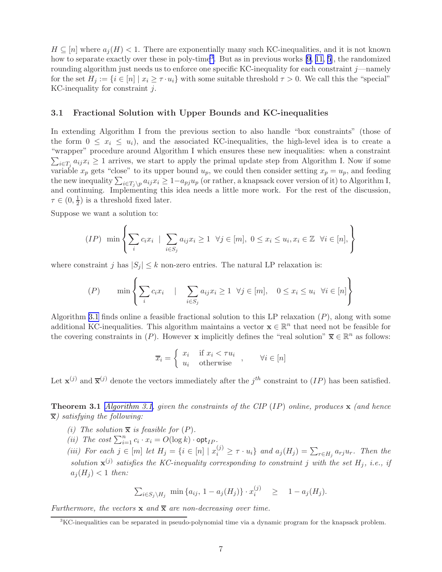<span id="page-6-0"></span> $H \subseteq [n]$  where  $a_i(H) < 1$ . There are exponentially many such KC-inequalities, and it is not known how to separate exactly over these in poly-time<sup>3</sup>. But as in previous works [\[9,](#page-13-0) [11,](#page-13-0) [5](#page-13-0)], the randomized rounding algorithm just needs us to enforce one specific KC-inequality for each constraint  $j$ —namely for the set  $H_j := \{i \in [n] \mid x_i \geq \tau \cdot u_i\}$  with some suitable threshold  $\tau > 0$ . We call this the "special" KC-inequality for constraint  $j$ .

#### 3.1 Fractional Solution with Upper Bounds and KC-inequalities

In extending Algorithm I from the previous section to also handle "box constraints" (those of the form  $0 \leq x_i \leq u_i$ , and the associated KC-inequalities, the high-level idea is to create a "wrapper" procedure around Algorithm I which ensures these new inequalities: when a constraint  $\sum_{i\in T_j} a_{ij}x_i \geq 1$  arrives, we start to apply the primal update step from Algorithm I. Now if some variable  $x_p$  gets "close" to its upper bound  $u_p$ , we could then consider setting  $x_p = u_p$ , and feeding the new inequality  $\sum_{i\in T_j\setminus p}a_{ij}x_i\geq 1-a_{pj}u_p$  (or rather, a knapsack cover version of it) to Algorithm I, and continuing. Implementing this idea needs a little more work. For the rest of the discussion,  $\tau \in (0, \frac{1}{2})$  $(\frac{1}{2})$  is a threshold fixed later.

Suppose we want a solution to:

$$
(IP) \ \min\left\{\sum_{i} c_i x_i \mid \sum_{i \in S_j} a_{ij} x_i \ge 1 \ \ \forall j \in [m], \ 0 \le x_i \le u_i, x_i \in \mathbb{Z} \ \ \forall i \in [n],\right\}
$$

where constraint j has  $|S_j| \leq k$  non-zero entries. The natural LP relaxation is:

$$
(P) \qquad \min \left\{ \sum_{i} c_i x_i \quad | \quad \sum_{i \in S_j} a_{ij} x_i \ge 1 \quad \forall j \in [m], \quad 0 \le x_i \le u_i \quad \forall i \in [n] \right\}
$$

Algorithm [3.1](#page-7-0) finds online a feasible fractional solution to this LP relaxation  $(P)$ , along with some additional KC-inequalities. This algorithm maintains a vector  $\mathbf{x} \in \mathbb{R}^n$  that need not be feasible for the covering constraints in  $(P)$ . However x implicitly defines the "real solution"  $\overline{\mathbf{x}} \in \mathbb{R}^n$  as follows:

$$
\overline{x}_i = \begin{cases} x_i & \text{if } x_i < \tau u_i \\ u_i & \text{otherwise} \end{cases}, \quad \forall i \in [n]
$$

Let  $\mathbf{x}^{(j)}$  and  $\overline{\mathbf{x}}^{(j)}$  denote the vectors immediately after the  $j^{th}$  constraint to  $(IP)$  has been satisfied.

**Theorem 3.1** [Algorithm 3.1,](#page-7-0) given the constraints of the CIP (IP) online, produces  $\bf{x}$  (and hence  $\overline{\mathbf{x}}$ ) satisfying the following:

- (i) The solution  $\bar{x}$  is feasible for  $(P)$ .
- (*ii*) The cost  $\sum_{i=1}^{n} c_i \cdot x_i = O(\log k) \cdot \mathsf{opt}_{IP}$ .
- (iii) For each  $j \in [m]$  let  $H_j = \{i \in [n] \mid x_i^{(j)} \geq \tau \cdot u_i\}$  and  $a_j(H_j) = \sum_{r \in H_j} a_{rj} u_r$ . Then the solution  $\mathbf{x}^{(j)}$  satisfies the KC-inequality corresponding to constraint j with the set  $H_j$ , i.e., if  $a_i(H_i) < 1$  then:

$$
\sum_{i \in S_j \setminus H_j} \min \{a_{ij}, 1 - a_j(H_j)\} \cdot x_i^{(j)} \geq 1 - a_j(H_j).
$$

Furthermore, the vectors  $x$  and  $\overline{x}$  are non-decreasing over time.

<sup>&</sup>lt;sup>3</sup>KC-inequalities can be separated in pseudo-polynomial time via a dynamic program for the knapsack problem.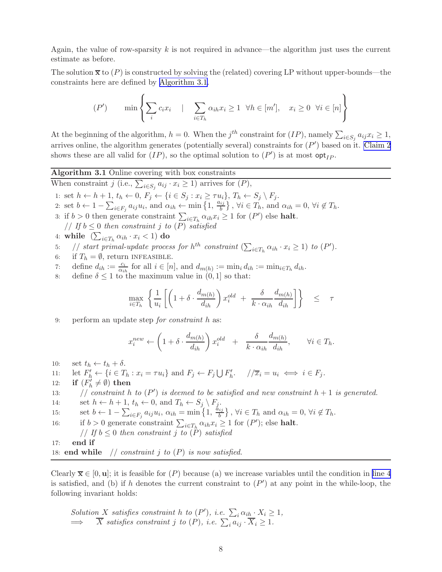<span id="page-7-0"></span>Again, the value of row-sparsity k is not required in advance—the algorithm just uses the current estimate as before.

The solution  $\bar{x}$  to  $(P)$  is constructed by solving the (related) covering LP without upper-bounds—the constraints here are defined by Algorithm 3.1.

$$
(P') \qquad \min \left\{ \sum_{i} c_i x_i \quad | \quad \sum_{i \in T_h} \alpha_{ih} x_i \ge 1 \quad \forall h \in [m'], \quad x_i \ge 0 \quad \forall i \in [n] \right\}
$$

At the beginning of the algorithm,  $h = 0$ . When the j<sup>th</sup> constraint for  $(IP)$ , namely  $\sum_{i \in S_j} a_{ij} x_i \geq 1$ , arrives online, the algorithm generates (potentially several) constraints for  $(P')$  based on it. [Claim 2](#page-8-0) shows these are all valid for  $(IP)$ , so the optimal solution to  $(P')$  is at most  $opt_{IP}$ .

Algorithm 3.1 Online covering with box constraints

When constraint j (i.e.,  $\sum_{i \in S_j} a_{ij} \cdot x_i \geq 1$ ) arrives for  $(P)$ ,

1: set  $h \leftarrow h + 1$ ,  $t_h \leftarrow 0$ ,  $F_j \leftarrow \{i \in S_j : x_i \geq \tau u_i\}$ ,  $T_h \leftarrow S_j \setminus F_j$ .

- 2: set  $b \leftarrow 1 \sum_{i \in F_j} a_{ij} u_i$ , and  $\alpha_{ih} \leftarrow \min \left\{1, \frac{a_{ij}}{b}\right\}$  $\{\psi_i\}, \forall i \in T_h$ , and  $\alpha_{ih} = 0, \forall i \notin T_h$ .
- 3: if  $b > 0$  then generate constraint  $\sum_{i \in T_h} \alpha_{ih} x_i \ge 1$  for  $(P')$  else **halt**. // If  $b \leq 0$  then constraint j to  $(P)$  satisfied
- 4: while  $\left(\sum_{i\in T_h}\alpha_{ih}\cdot x_i<1\right)$  do
- 5: // start primal-update process for  $h^{th}$  constraint  $(\sum_{i \in T_h} \alpha_{ih} \cdot x_i \ge 1)$  to  $(P')$ .
- 6: if  $T_h = \emptyset$ , return INFEASIBLE.
- 7: define  $d_{ih} := \frac{c_i}{\alpha_{ih}}$  for all  $i \in [n]$ , and  $d_{m(h)} := \min_i d_{ih} := \min_{i \in T_h} d_{ih}$ .
- 8: define  $\delta \leq 1$  to the maximum value in  $(0, 1]$  so that:

$$
\max_{i \in T_h} \left\{ \frac{1}{u_i} \left[ \left( 1 + \delta \cdot \frac{d_{m(h)}}{d_{ih}} \right) x_i^{old} + \frac{\delta}{k \cdot \alpha_{ih}} \frac{d_{m(h)}}{d_{ih}} \right] \right\} \leq \tau
$$

9: perform an update step for constraint h as:

$$
x_i^{new} \leftarrow \left(1 + \delta \cdot \frac{d_{m(h)}}{d_{ih}}\right) x_i^{old} + \frac{\delta}{k \cdot \alpha_{ih}} \frac{d_{m(h)}}{d_{ih}}, \qquad \forall i \in T_h.
$$

10: set  $t_h \leftarrow t_h + \delta$ .

11: let 
$$
F'_h \leftarrow \{i \in T_h : x_i = \tau u_i\}
$$
 and  $F_j \leftarrow F_j \bigcup F'_h$ .  $/\langle \overline{x}_i = u_i \iff i \in F_j$ .

12: if  $(F'_h \neq \emptyset)$  then

13: // constraint h to  $(P')$  is deemed to be satisfied and new constraint  $h + 1$  is generated.

14: set  $h \leftarrow h + 1$ ,  $t_h \leftarrow 0$ , and  $T_h \leftarrow S_j \setminus F_j$ .

15: set 
$$
b \leftarrow 1 - \sum_{i \in F_j} a_{ij} u_i
$$
,  $\alpha_{ih} = \min\left\{1, \frac{a_{ij}}{b}\right\}$ ,  $\forall i \in T_h$  and  $\alpha_{ih} = 0$ ,  $\forall i \notin T_h$ .

16: if  $b > 0$  generate constraint  $\sum_{i \in T_h} \alpha_{ih} x_i \ge 1$  for  $(P')$ ; else **halt**.

- // If  $b \leq 0$  then constraint j to  $(P)$  satisfied
- 17: end if
- 18: end while  $\frac{1}{2}$  constraint j to  $(P)$  is now satisfied.

Clearly  $\overline{\mathbf{x}} \in [0, \mathbf{u}]$ ; it is feasible for  $(P)$  because (a) we increase variables until the condition in line 4 is satisfied, and (b) if h denotes the current constraint to  $(P')$  at any point in the while-loop, the following invariant holds:

Solution X satisfies constraint h to 
$$
(P')
$$
, i.e.  $\sum_i \alpha_{ih} \cdot X_i \ge 1$ ,  
\n $\implies \overline{X}$  satisfies constraint j to  $(P)$ , i.e.  $\sum_i a_{ij} \cdot \overline{X}_i \ge 1$ .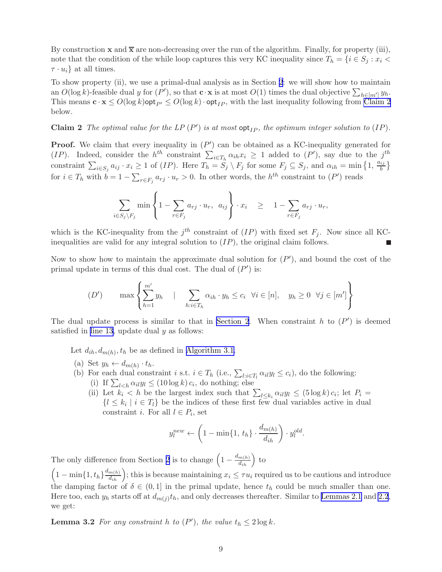<span id="page-8-0"></span>By construction **x** and  $\overline{x}$  are non-decreasing over the run of the algorithm. Finally, for property (iii), note that the condition of the while loop captures this very KC inequality since  $T_h = \{i \in S_j : x_i \leq \emptyset\}$  $\tau \cdot u_i$  at all times.

To show property (ii), we use a primal-dual analysis as in Section [2](#page-2-0): we will show how to maintain an  $O(\log k)$ -feasible dual y for  $(P')$ , so that  $\mathbf{c} \cdot \mathbf{x}$  is at most  $O(1)$  times the dual objective  $\sum_{h \in [m']} y_h$ . This means  $\mathbf{c} \cdot \mathbf{x} \le O(\log k)$  opt<sub>IP</sub>  $\le O(\log k) \cdot \mathsf{opt}_{IP}$ , with the last inequality following from Claim 2 below.

**Claim 2** The optimal value for the LP  $(P')$  is at most  $opt_{IP}$ , the optimum integer solution to  $(IP)$ .

**Proof.** We claim that every inequality in  $(P')$  can be obtained as a KC-inequality generated for (IP). Indeed, consider the  $h^{th}$  constraint  $\sum_{i\in T_h} \alpha_{ih} x_i \geq 1$  added to  $(P')$ , say due to the  $j^{th}$ constraint  $\sum_{i \in S_j} a_{ij} \cdot x_i \geq 1$  of  $(IP)$ . Here  $T_h = S_j \setminus F_j$  for some  $F_j \subseteq S_j$ , and  $\alpha_{ih} = \min\left\{1, \frac{a_{ij}}{b}\right\}$  $\frac{ij}{b}$ for  $i \in T_h$  with  $b = 1 - \sum_{r \in F_j} a_{rj} \cdot u_r > 0$ . In other words, the  $h^{th}$  constraint to  $(P')$  reads

$$
\sum_{i \in S_j \setminus F_j} \min \left\{ 1 - \sum_{r \in F_j} a_{rj} \cdot u_r, a_{ij} \right\} \cdot x_i \geq 1 - \sum_{r \in F_j} a_{rj} \cdot u_r,
$$

which is the KC-inequality from the  $j<sup>th</sup>$  constraint of  $(IP)$  with fixed set  $F_j$ . Now since all KCinequalities are valid for any integral solution to  $(IP)$ , the original claim follows.

Now to show how to maintain the approximate dual solution for  $(P')$ , and bound the cost of the primal update in terms of this dual cost. The dual of  $(P')$  is:

$$
(D') \quad \max \left\{ \sum_{h=1}^{m'} y_h \quad | \quad \sum_{h:i \in T_h} \alpha_{ih} \cdot y_h \le c_i \quad \forall i \in [n], \quad y_h \ge 0 \quad \forall j \in [m'] \right\}
$$

The dual update process is similar to that in [Section 2](#page-2-0). When constraint h to  $(P')$  is deemed satisfied in [line 13,](#page-7-0) update dual  $y$  as follows:

Let  $d_{ih}, d_{m(h)}, t_h$  be as defined in [Algorithm 3.1](#page-7-0).

- (a) Set  $y_h \leftarrow d_{m(h)} \cdot t_h$ .
- (b) For each dual constraint i s.t.  $i \in T_h$  (i.e.,  $\sum_{l:i \in T_l} \alpha_{il} y_l \leq c_i$ ), do the following:
	- (i) If  $\sum_{l \leq h} \alpha_{il} y_l \leq (10 \log k) c_i$ , do nothing; else
	- (ii) Let  $k_i < h$  be the largest index such that  $\sum_{l \leq k_i} \alpha_{il} y_l \leq (5 \log k) c_i$ ; let  $P_i =$  $\{l \leq k_i \mid i \in T_l\}$  be the indices of these first few dual variables active in dual constraint *i*. For all  $l \in P_i$ , set

$$
y_l^{new} \leftarrow \left(1 - \min\{1, t_h\} \cdot \frac{d_{m(h)}}{d_{ih}}\right) \cdot y_l^{old}.
$$

The only difference from Section [2](#page-2-0) is to change  $\left(1 - \frac{d_{m(h)}}{d_{ih}}\right)$  to

 $\left(1-\min\{1,t_h\}\frac{d_{m(h)}}{d_{ih}}\right);$  this is because maintaining  $x_i \leq \tau u_i$  required us to be cautious and introduce the damping factor of  $\delta \in (0,1]$  in the primal update, hence  $t_h$  could be much smaller than one. Here too, each  $y_h$  starts off at  $d_{m(j)}t_h$ , and only decreases thereafter. Similar to [Lemmas 2.1](#page-2-0) and [2.2](#page-3-0), we get:

**Lemma 3.2** For any constraint h to  $(P')$ , the value  $t_h \leq 2 \log k$ .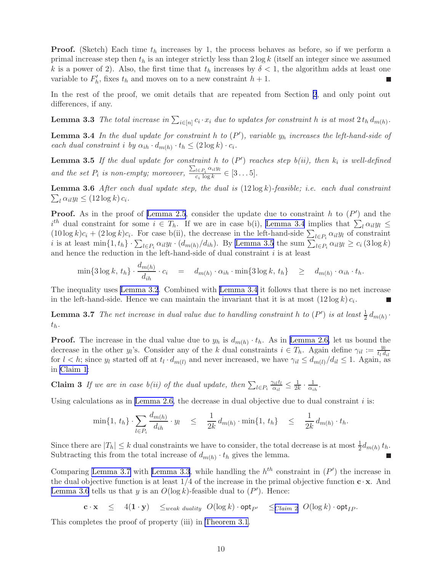**Proof.** (Sketch) Each time  $t_h$  increases by 1, the process behaves as before, so if we perform a primal increase step then  $t_h$  is an integer strictly less than  $2 \log k$  (itself an integer since we assumed k is a power of 2). Also, the first time that  $t<sub>h</sub>$  increases by  $\delta < 1$ , the algorithm adds at least one variable to  $F'_{h}$ , fixes  $t_{h}$  and moves on to a new constraint  $h + 1$ . П

In the rest of the proof, we omit details that are repeated from Section [2](#page-2-0), and only point out differences, if any.

**Lemma 3.3** The total increase in  $\sum_{i \in [n]} c_i \cdot x_i$  due to updates for constraint h is at most  $2 t_h d_{m(h)}$ .

**Lemma 3.4** In the dual update for constraint h to  $(P')$ , variable  $y_h$  increases the left-hand-side of each dual constraint i by  $\alpha_{ih} \cdot d_{m(h)} \cdot t_h \leq (2 \log k) \cdot c_i$ .

**Lemma 3.5** If the dual update for constraint h to  $(P')$  reaches step  $b(ii)$ , then  $k_i$  is well-defined and the set  $P_i$  is non-empty; moreover,  $\frac{\sum_{l \in P_i} \alpha_{il} y_l}{c_i \log k}$  $\frac{\sum_{i \in P_i} \sum_{i} g_i}{c_i \log k} \in [3 \dots 5].$ 

 $\sum_{l} \alpha_{il} y_l \leq (12 \log k) c_i.$ **Lemma 3.6** After each dual update step, the dual is  $(12 \log k)$ -feasible; i.e. each dual constraint

**Proof.** As in the proof of [Lemma 2.5](#page-4-0), consider the update due to constraint h to  $(P')$  and the  $i^{th}$  dual constraint for some  $i \in T_h$ . If we are in case b(i), Lemma 3.4 implies that  $\sum_l \alpha_{il} y_l \leq$  $(10\log k)c_i + (2\log k)c_i$ . For case b(ii), the decrease in the left-hand-side  $\sum_{l\in P_i} \alpha_{il}y_l$  of constraint *i* is at least  $\min\{1, t_h\} \cdot \sum_{l \in P_i} \alpha_{il} y_l \cdot (d_{m(h)}/d_{ih})$ . By Lemma 3.5 the sum  $\sum_{l \in P_i} \alpha_{il} y_l \ge c_i (3 \log k)$ and hence the reduction in the left-hand-side of dual constraint  $i$  is at least

$$
\min\{3\log k,\,t_h\}\cdot\frac{d_{m(h)}}{d_{ih}}\cdot c_i = d_{m(h)}\cdot\alpha_{ih}\cdot\min\{3\log k,\,t_h\} \geq d_{m(h)}\cdot\alpha_{ih}\cdot t_h.
$$

The inequality uses [Lemma 3.2](#page-8-0). Combined with Lemma 3.4 it follows that there is no net increase in the left-hand-side. Hence we can maintain the invariant that it is at most  $(12 \log k) c_i$ .

**Lemma 3.7** The net increase in dual value due to handling constraint h to  $(P')$  is at least  $\frac{1}{2} d_{m(h)}$ .  $t_h$ .

**Proof.** The increase in the dual value due to  $y_h$  is  $d_{m(h)} \cdot t_h$ . As in [Lemma 2.6,](#page-4-0) let us bound the decrease in the other  $y_i$ 's. Consider any of the k dual constraints  $i \in T_h$ . Again define  $\gamma_{il} := \frac{y_l}{t_l}$  $t_l d_{il}$ for  $l < h$ ; since  $y_l$  started off at  $t_l \cdot d_{m(l)}$  and never increased, we have  $\gamma_{il} \leq d_{m(l)}/d_{il} \leq 1$ . Again, as in [Claim 1:](#page-4-0)

**Claim 3** If we are in case b(ii) of the dual update, then  $\sum_{l \in P_i} \frac{\gamma_{il} t_l}{\alpha_{il}}$  $\frac{\gamma_{il}t_l}{\alpha_{il}} \leq \frac{1}{2k}$  $\frac{1}{2k}\cdot\frac{1}{\alpha_i}$  $\frac{1}{\alpha_{ih}}$ .

Using calculations as in [Lemma 2.6,](#page-4-0) the decrease in dual objective due to dual constraint  $i$  is:

$$
\min\{1, t_h\} \cdot \sum_{l \in P_i} \frac{d_{m(h)}}{d_{ih}} \cdot y_l \leq \frac{1}{2k} d_{m(h)} \cdot \min\{1, t_h\} \leq \frac{1}{2k} d_{m(h)} \cdot t_h.
$$

Since there are  $|T_h| \leq k$  dual constraints we have to consider, the total decrease is at most  $\frac{1}{2}d_{m(h)}t_h$ . Subtracting this from the total increase of  $d_{m(h)} \cdot t_h$  gives the lemma.

Comparing Lemma 3.7 with Lemma 3.3, while handling the  $h^{th}$  constraint in  $(P')$  the increase in the dual objective function is at least  $1/4$  of the increase in the primal objective function  $\mathbf{c} \cdot \mathbf{x}$ . And Lemma 3.6 tells us that y is an  $O(\log k)$ -feasible dual to  $(P')$ . Hence:

 $\mathbf{c} \cdot \mathbf{x} \leq 4(\mathbf{1} \cdot \mathbf{y}) \leq_{weak\ duality} O(\log k) \cdot \mathsf{opt}_{P'} \leq_{Claim\ 2} O(\log k) \cdot \mathsf{opt}_{IP}.$  $\mathbf{c} \cdot \mathbf{x} \leq 4(\mathbf{1} \cdot \mathbf{y}) \leq_{weak\ duality} O(\log k) \cdot \mathsf{opt}_{P'} \leq_{Claim\ 2} O(\log k) \cdot \mathsf{opt}_{IP}.$  $\mathbf{c} \cdot \mathbf{x} \leq 4(\mathbf{1} \cdot \mathbf{y}) \leq_{weak\ duality} O(\log k) \cdot \mathsf{opt}_{P'} \leq_{Claim\ 2} O(\log k) \cdot \mathsf{opt}_{IP}.$ 

This completes the proof of property (iii) in [Theorem 3.1](#page-6-0).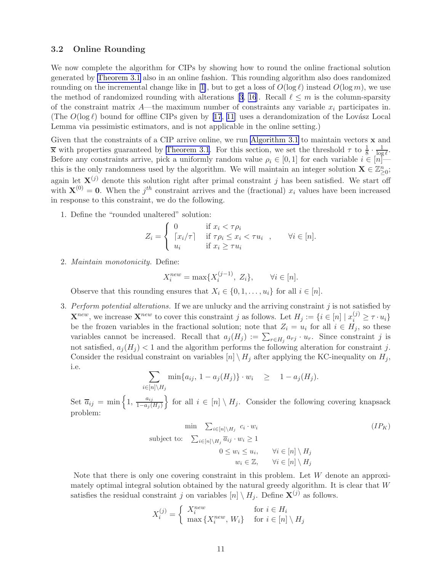#### <span id="page-10-0"></span>3.2 Online Rounding

We now complete the algorithm for CIPs by showing how to round the online fractional solution generated by [Theorem 3.1](#page-6-0) also in an online fashion. This rounding algorithm also does randomized rounding on the incremental change like in [\[1\]](#page-12-0), but to get a loss of  $O(\log \ell)$  instead  $O(\log m)$ , we use themethod of randomized rounding with alterations [[3](#page-12-0), [16](#page-13-0)]. Recall  $\ell \leq m$  is the column-sparsity of the constraint matrix  $A$ —the maximum number of constraints any variable  $x_i$  participates in. (The  $O(\log \ell)$  bound for offline CIPs given by [\[17](#page-13-0), [11\]](#page-13-0) uses a derandomization of the Lovász Local Lemma via pessimistic estimators, and is not applicable in the online setting.)

Given that the constraints of a CIP arrive online, we run [Algorithm 3.1](#page-7-0) to maintain vectors  $\bf{x}$  and  $\bar{x}$  with properties guaranteed by [Theorem 3.1](#page-6-0). For this section, we set the threshold  $\tau$  to  $\frac{1}{8} \cdot \frac{1}{\log \ell}$ . Before any constraints arrive, pick a uniformly random value  $\rho_i \in [0, 1]$  for each variable  $i \in [n]$  this is the only randomness used by the algorithm. We will maintain an integer solution  $\mathbf{X} \in \mathbb{Z}_{\geq 0}^n$ ; again let  $X^{(j)}$  denote this solution right after primal constraint j has been satisfied. We start off with  $\mathbf{X}^{(0)} = \mathbf{0}$ . When the j<sup>th</sup> constraint arrives and the (fractional)  $x_i$  values have been increased in response to this constraint, we do the following.

1. Define the "rounded unaltered" solution:

$$
Z_i = \begin{cases} 0 & \text{if } x_i < \tau \rho_i \\ \lceil x_i / \tau \rceil & \text{if } \tau \rho_i \le x_i < \tau u_i \\ u_i & \text{if } x_i \ge \tau u_i \end{cases}, \quad \forall i \in [n].
$$

2. Maintain monotonicity. Define:

$$
X_i^{new} = \max\{X_i^{(j-1)}, Z_i\}, \quad \forall i \in [n].
$$

Observe that this rounding ensures that  $X_i \in \{0, 1, \ldots, u_i\}$  for all  $i \in [n]$ .

3. Perform potential alterations. If we are unlucky and the arriving constraint  $j$  is not satisfied by  $\mathbf{X}^{new}$ , we increase  $\mathbf{X}^{new}$  to cover this constraint j as follows. Let  $H_j := \{i \in [n] \mid x_i^{(j)} \geq \tau \cdot u_i\}$ be the frozen variables in the fractional solution; note that  $Z_i = u_i$  for all  $i \in H_j$ , so these variables cannot be increased. Recall that  $a_j(H_j) := \sum_{r \in H_j} a_{rj} \cdot u_r$ . Since constraint j is not satisfied,  $a_j(H_j) < 1$  and the algorithm performs the following alteration for constraint j. Consider the residual constraint on variables  $[n] \setminus H_j$  after applying the KC-inequality on  $H_j$ , i.e.

$$
\sum_{i\in[n]\setminus H_j} \min\{a_{ij}, 1-a_j(H_j)\} \cdot w_i \geq 1-a_j(H_j).
$$

Set  $\overline{a}_{ij} = \min\left\{1, \frac{a_{ij}}{1 - a_i}\right\}$  $\left\{\frac{a_{ij}}{1-a_j(H_j)}\right\}$  for all  $i \in [n] \setminus H_j$ . Consider the following covering knapsack problem:

$$
\min \sum_{i \in [n] \setminus H_j} c_i \cdot w_i \qquad (IP_K)
$$
\n
$$
\text{subject to: } \sum_{i \in [n] \setminus H_j} \overline{a}_{ij} \cdot w_i \ge 1
$$
\n
$$
0 \le w_i \le u_i, \qquad \forall i \in [n] \setminus H_j
$$
\n
$$
w_i \in \mathbb{Z}, \qquad \forall i \in [n] \setminus H_j
$$

Note that there is only one covering constraint in this problem. Let  $W$  denote an approximately optimal integral solution obtained by the natural greedy algorithm. It is clear that  $W$ satisfies the residual constraint j on variables  $[n] \setminus H_j$ . Define  $\mathbf{X}^{(j)}$  as follows.

$$
X_i^{(j)} = \begin{cases} X_i^{new} & \text{for } i \in H_i \\ \max \{ X_i^{new}, W_i \} & \text{for } i \in [n] \setminus H_j \end{cases}
$$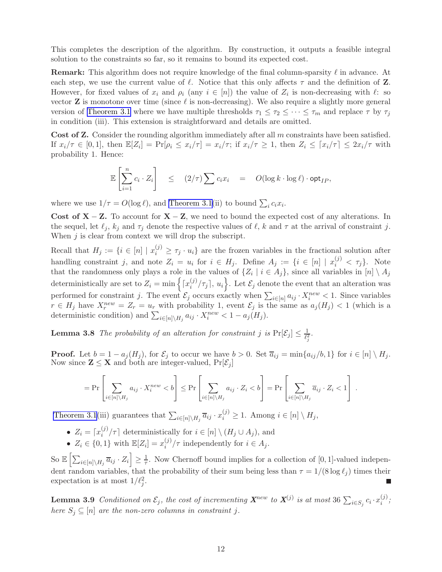This completes the description of the algorithm. By construction, it outputs a feasible integral solution to the constraints so far, so it remains to bound its expected cost.

**Remark:** This algorithm does not require knowledge of the final column-sparsity  $\ell$  in advance. At each step, we use the current value of  $\ell$ . Notice that this only affects  $\tau$  and the definition of **Z**. However, for fixed values of  $x_i$  and  $\rho_i$  (any  $i \in [n]$ ) the value of  $Z_i$  is non-decreasing with  $\ell$ : so vector  $Z$  is monotone over time (since  $\ell$  is non-decreasing). We also require a slightly more general version of [Theorem 3.1](#page-6-0) where we have multiple thresholds  $\tau_1 \leq \tau_2 \leq \cdots \leq \tau_m$  and replace  $\tau$  by  $\tau_j$ in condition (iii). This extension is straightforward and details are omitted.

**Cost of Z.** Consider the rounding algorithm immediately after all  $m$  constraints have been satisfied. If  $x_i/\tau \in [0,1]$ , then  $\mathbb{E}[Z_i] = \Pr[\rho_i \leq x_i/\tau] = x_i/\tau$ ; if  $x_i/\tau \geq 1$ , then  $Z_i \leq [x_i/\tau] \leq 2x_i/\tau$  with probability 1. Hence:

$$
\mathbb{E}\left[\sum_{i=1}^n c_i \cdot Z_i\right] \leq (2/\tau) \sum c_i x_i = O(\log k \cdot \log \ell) \cdot \mathsf{opt}_{IP},
$$

where we use  $1/\tau = O(\log \ell)$ , and [Theorem 3.1\(](#page-6-0)ii) to bound  $\sum_i c_i x_i$ .

Cost of  $X - Z$ . To account for  $X - Z$ , we need to bound the expected cost of any alterations. In the sequel, let  $\ell_j$ ,  $k_j$  and  $\tau_j$  denote the respective values of  $\ell$ ,  $k$  and  $\tau$  at the arrival of constraint j. When  $j$  is clear from context we will drop the subscript.

Recall that  $H_j := \{i \in [n] \mid x_i^{(j)} \geq \tau_j \cdot u_i\}$  are the frozen variables in the fractional solution after handling constraint j, and note  $Z_i = u_i$  for  $i \in H_j$ . Define  $A_j := \{i \in [n] \mid x_i^{(j)} < \tau_j\}$ . Note that the randomness only plays a role in the values of  $\{Z_i \mid i \in A_j\}$ , since all variables in  $[n] \setminus A_j$ deterministically are set to  $Z_i = \min \left\{ \lceil x_i^{(j)} \rceil \right\}$  $\binom{(j)}{i}$ ,  $\tau_j$ ,  $u_i$ , Let  $\mathcal{E}_j$  denote the event that an alteration was performed for constraint j. The event  $\mathcal{E}_j$  occurs exactly when  $\sum_{i\in[n]} a_{ij} \cdot X_i^{new} < 1$ . Since variables  $r \in H_j$  have  $X_r^{new} = Z_r = u_r$  with probability 1, event  $\mathcal{E}_j$  is the same as  $a_j(H_j) < 1$  (which is a deterministic condition) and  $\sum_{i \in [n] \setminus H_j} a_{ij} \cdot X_i^{new} < 1 - a_j(H_j)$ .

**Lemma 3.8** The probability of an alteration for constraint j is  $Pr[\mathcal{E}_j] \leq \frac{1}{\ell_j^2}$ .

**Proof.** Let  $b = 1 - a_j(H_j)$ , for  $\mathcal{E}_j$  to occur we have  $b > 0$ . Set  $\overline{a}_{ij} = \min\{a_{ij}/b, 1\}$  for  $i \in [n] \setminus H_j$ . Now since  $\mathbf{Z} \leq \mathbf{X}$  and both are integer-valued,  $Pr[\mathcal{E}_j]$ 

$$
= \Pr\left[\sum_{i \in [n] \setminus H_j} a_{ij} \cdot X_i^{new} < b\right] \le \Pr\left[\sum_{i \in [n] \setminus H_j} a_{ij} \cdot Z_i < b\right] = \Pr\left[\sum_{i \in [n] \setminus H_j} \overline{a}_{ij} \cdot Z_i < 1\right].
$$

[Theorem 3.1](#page-6-0)(iii) guarantees that  $\sum_{i\in[n]\setminus H_j} \overline{a}_{ij} \cdot x_i^{(j)} \geq 1$ . Among  $i \in [n] \setminus H_j$ ,

- $Z_i = \lceil x_i^{(j)} \rceil$  $\binom{U}{i}$  deterministically for  $i \in [n] \setminus (H_j \cup A_j)$ , and
- $Z_i \in \{0, 1\}$  with  $\mathbb{E}[Z_i] = x_i^{(j)}$  $i^{(j)}/\tau$  independently for  $i \in A_j$ .

So  $\mathbb{E}\left[\sum_{i\in[n]\setminus H_j} \overline{a}_{ij} \cdot Z_i\right] \geq \frac{1}{\tau}$ . Now Chernoff bound implies for a collection of [0, 1]-valued independent random variables, that the probability of their sum being less than  $\tau = 1/(8 \log l_i)$  times their expectation is at most  $1/\ell_j^2$ .

**Lemma 3.9** Conditioned on  $\mathcal{E}_j$ , the cost of incrementing  $\mathbf{X}^{new}$  to  $\mathbf{X}^{(j)}$  is at most 36  $\sum_{i \in S_j} c_i \cdot x_i^{(j)}$  $\binom{J}{i}$ ; here  $S_j \subseteq [n]$  are the non-zero columns in constraint j.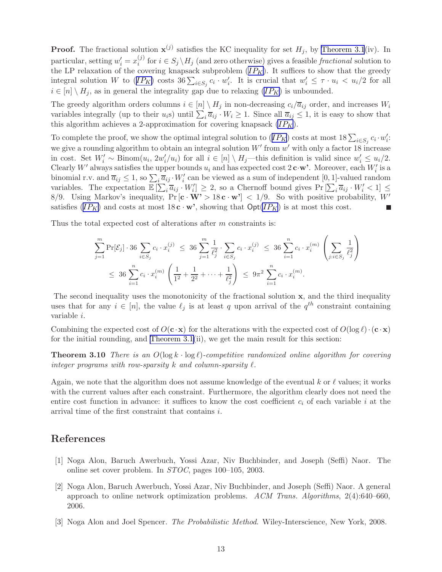<span id="page-12-0"></span>**Proof.** The fractional solution  $\mathbf{x}^{(j)}$  satisfies the KC inequality for set  $H_j$ , by [Theorem 3.1](#page-6-0)(iv). In particular, setting  $w'_i = x_i^{(j)}$ <sup>(*j*)</sup> for  $i \in S_j \setminus H_j$  (and zero otherwise) gives a feasible *fractional* solution to the LP relaxation of the covering knapsack subproblem  $(IP_K)$  $(IP_K)$  $(IP_K)$ . It suffices to show that the greedy integral solution W to  $(IP_K)$  $(IP_K)$  $(IP_K)$  costs  $36\sum_{i\in S_j}c_i\cdot w'_i$ . It is crucial that  $w'_i \leq \tau \cdot u_i < u_i/2$  for all  $i \in [n] \setminus H_i$ , as in general the integrality gap due to relaxing  $(IP_K)$  $(IP_K)$  $(IP_K)$  is unbounded.

The greedy algorithm orders columns  $i \in [n] \setminus H_j$  in non-decreasing  $c_i/\overline{a}_{ij}$  order, and increases  $W_i$ variables integrally (up to their  $u_i$ s) until  $\sum_i \overline{a}_{ij} \cdot W_i \ge 1$ . Since all  $\overline{a}_{ij} \le 1$ , it is easy to show that this algorithm achieves a 2-approximation for covering knapsack  $(IP_K)$  $(IP_K)$  $(IP_K)$ .

To complete the proof, we show the optimal integral solution to  $(IP_K)$  $(IP_K)$  $(IP_K)$  costs at most  $18\sum_{i\in S_j}c_i\cdot w_i'$ : we give a rounding algorithm to obtain an integral solution  $W'$  from  $w'$  with only a factor 18 increase in cost. Set  $W'_i \sim \text{Binom}(u_i, 2w'_i/u_i)$  for all  $i \in [n] \setminus H_j$ —this definition is valid since  $w'_i \leq u_i/2$ . Clearly W' always satisfies the upper bounds  $u_i$  and has expected cost  $2 \text{c·w'}$ . Moreover, each  $W'_i$  is a binomial r.v. and  $\overline{a}_{ij} \leq 1$ , so  $\sum_i \overline{a}_{ij} \cdot W'_i$  can be viewed as a sum of independent [0, 1]-valued random variables. The expectation  $\mathbb{E}[\sum_i \overline{a}_{ij} \cdot W'_i] \geq 2$ , so a Chernoff bound gives  $\Pr[\sum_i \overline{a}_{ij} \cdot W'_i < 1] \leq$ 8/9. Using Markov's inequality,  $Pr[\mathbf{c} \cdot \mathbf{W'} > 18 \mathbf{c} \cdot \mathbf{w'}] < 1/9$ . So with positive probability,  $W'$ satisfies  $(IP_K)$  $(IP_K)$  $(IP_K)$  and costs at most 18 c · w', showing that  $Opt/IP_K$  is at most this cost.

Thus the total expected cost of alterations after m constraints is:

$$
\sum_{j=1}^{m} \Pr[\mathcal{E}_{j}] \cdot 36 \sum_{i \in S_{j}} c_{i} \cdot x_{i}^{(j)} \le 36 \sum_{j=1}^{m} \frac{1}{\ell_{j}^{2}} \cdot \sum_{i \in S_{j}} c_{i} \cdot x_{i}^{(j)} \le 36 \sum_{i=1}^{n} c_{i} \cdot x_{i}^{(m)} \left( \sum_{j:i \in S_{j}} \frac{1}{\ell_{j}^{2}} \right)
$$
  

$$
\le 36 \sum_{i=1}^{n} c_{i} \cdot x_{i}^{(m)} \left( \frac{1}{1^{2}} + \frac{1}{2^{2}} + \dots + \frac{1}{\ell_{j}^{2}} \right) \le 9\pi^{2} \sum_{i=1}^{n} c_{i} \cdot x_{i}^{(m)}.
$$

The second inequality uses the monotonicity of the fractional solution x, and the third inequality uses that for any  $i \in [n]$ , the value  $\ell_j$  is at least q upon arrival of the  $q^{th}$  constraint containing variable i.

Combining the expected cost of  $O(c \cdot x)$  for the alterations with the expected cost of  $O(\log \ell) \cdot (c \cdot x)$ for the initial rounding, and [Theorem 3.1\(](#page-6-0)ii), we get the main result for this section:

**Theorem 3.10** There is an  $O(\log k \cdot \log \ell)$ -competitive randomized online algorithm for covering integer programs with row-sparsity k and column-sparsity  $\ell$ .

Again, we note that the algorithm does not assume knowledge of the eventual k or  $\ell$  values; it works with the current values after each constraint. Furthermore, the algorithm clearly does not need the entire cost function in advance: it suffices to know the cost coefficient  $c_i$  of each variable i at the arrival time of the first constraint that contains i.

#### References

- [1] Noga Alon, Baruch Awerbuch, Yossi Azar, Niv Buchbinder, and Joseph (Seffi) Naor. The online set cover problem. In STOC, pages 100–105, 2003.
- [2] Noga Alon, Baruch Awerbuch, Yossi Azar, Niv Buchbinder, and Joseph (Seffi) Naor. A general approach to online network optimization problems.  $ACM$  Trans. Algorithms, 2(4):640–660, 2006.
- [3] Noga Alon and Joel Spencer. The Probabilistic Method. Wiley-Interscience, New York, 2008.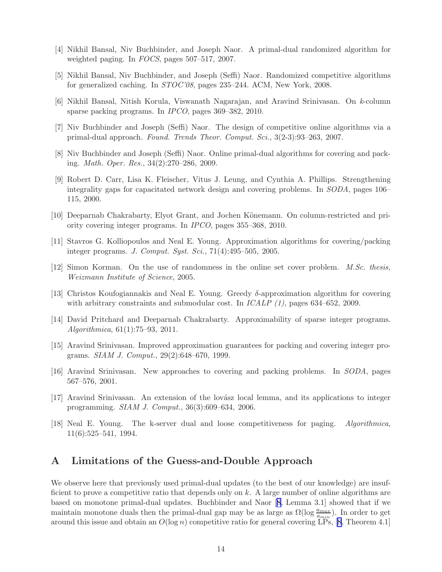- <span id="page-13-0"></span>[4] Nikhil Bansal, Niv Buchbinder, and Joseph Naor. A primal-dual randomized algorithm for weighted paging. In FOCS, pages 507–517, 2007.
- [5] Nikhil Bansal, Niv Buchbinder, and Joseph (Seffi) Naor. Randomized competitive algorithms for generalized caching. In STOC'08, pages 235–244. ACM, New York, 2008.
- [6] Nikhil Bansal, Nitish Korula, Viswanath Nagarajan, and Aravind Srinivasan. On k-column sparse packing programs. In IPCO, pages 369–382, 2010.
- [7] Niv Buchbinder and Joseph (Seffi) Naor. The design of competitive online algorithms via a primal-dual approach. Found. Trends Theor. Comput. Sci., 3(2-3):93–263, 2007.
- [8] Niv Buchbinder and Joseph (Seffi) Naor. Online primal-dual algorithms for covering and packing. Math. Oper. Res., 34(2):270–286, 2009.
- [9] Robert D. Carr, Lisa K. Fleischer, Vitus J. Leung, and Cynthia A. Phillips. Strengthening integrality gaps for capacitated network design and covering problems. In SODA, pages 106– 115, 2000.
- [10] Deeparnab Chakrabarty, Elyot Grant, and Jochen Könemann. On column-restricted and priority covering integer programs. In IPCO, pages 355–368, 2010.
- [11] Stavros G. Kolliopoulos and Neal E. Young. Approximation algorithms for covering/packing integer programs. J. Comput. Syst. Sci., 71(4):495–505, 2005.
- [12] Simon Korman. On the use of randomness in the online set cover problem. M.Sc. thesis, Weizmann Institute of Science, 2005.
- [13] Christos Koufogiannakis and Neal E. Young. Greedy  $\delta$ -approximation algorithm for covering with arbitrary constraints and submodular cost. In  $ICALP$  (1), pages 634–652, 2009.
- [14] David Pritchard and Deeparnab Chakrabarty. Approximability of sparse integer programs. Algorithmica, 61(1):75–93, 2011.
- [15] Aravind Srinivasan. Improved approximation guarantees for packing and covering integer programs. SIAM J. Comput., 29(2):648–670, 1999.
- [16] Aravind Srinivasan. New approaches to covering and packing problems. In SODA, pages 567–576, 2001.
- [17] Aravind Srinivasan. An extension of the lovász local lemma, and its applications to integer programming. SIAM J. Comput., 36(3):609–634, 2006.
- [18] Neal E. Young. The k-server dual and loose competitiveness for paging. Algorithmica, 11(6):525–541, 1994.

## A Limitations of the Guess-and-Double Approach

We observe here that previously used primal-dual updates (to the best of our knowledge) are insufficient to prove a competitive ratio that depends only on k. A large number of online algorithms are based on monotone primal-dual updates. Buchbinder and Naor [8, Lemma 3.1] showed that if we maintain monotone duals then the primal-dual gap may be as large as  $\Omega(\log \frac{a_{max}}{a_{min}})$ . In order to get around this issue and obtain an  $O(\log n)$  competitive ratio for general covering LPs, [8, Theorem 4.1]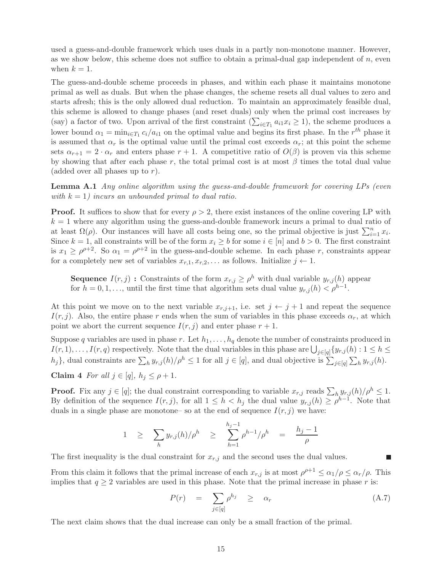<span id="page-14-0"></span>used a guess-and-double framework which uses duals in a partly non-monotone manner. However, as we show below, this scheme does not suffice to obtain a primal-dual gap independent of  $n$ , even when  $k = 1$ .

The guess-and-double scheme proceeds in phases, and within each phase it maintains monotone primal as well as duals. But when the phase changes, the scheme resets all dual values to zero and starts afresh; this is the only allowed dual reduction. To maintain an approximately feasible dual, this scheme is allowed to change phases (and reset duals) only when the primal cost increases by (say) a factor of two. Upon arrival of the first constraint  $(\sum_{i\in T_1} a_{i1}x_i \geq 1)$ , the scheme produces a lower bound  $\alpha_1 = \min_{i \in T_1} c_i/a_{i1}$  on the optimal value and begins its first phase. In the  $r^{th}$  phase it is assumed that  $\alpha_r$  is the optimal value until the primal cost exceeds  $\alpha_r$ ; at this point the scheme sets  $\alpha_{r+1} = 2 \cdot \alpha_r$  and enters phase  $r + 1$ . A competitive ratio of  $O(\beta)$  is proven via this scheme by showing that after each phase r, the total primal cost is at most  $\beta$  times the total dual value (added over all phases up to  $r$ ).

Lemma A.1 Any online algorithm using the guess-and-double framework for covering LPs (even with  $k = 1$ ) incurs an unbounded primal to dual ratio.

**Proof.** It suffices to show that for every  $\rho > 2$ , there exist instances of the online covering LP with  $k = 1$  where any algorithm using the guess-and-double framework incurs a primal to dual ratio of at least  $\Omega(\rho)$ . Our instances will have all costs being one, so the primal objective is just  $\sum_{i=1}^{n} x_i$ . Since  $k = 1$ , all constraints will be of the form  $x_i \geq b$  for some  $i \in [n]$  and  $b > 0$ . The first constraint is  $x_1 \ge \rho^{p+2}$ . So  $\alpha_1 = \rho^{p+2}$  in the guess-and-double scheme. In each phase r, constraints appear for a completely new set of variables  $x_{r,1}, x_{r,2}, \ldots$  as follows. Initialize  $j \leftarrow 1$ .

**Sequence**  $I(r, j)$ : Constraints of the form  $x_{r,j} \ge \rho^h$  with dual variable  $y_{r,j}(h)$  appear for  $h = 0, 1, \ldots$ , until the first time that algorithm sets dual value  $y_{r,j}(h) < \rho^{h-1}$ .

At this point we move on to the next variable  $x_{r,i+1}$ , i.e. set  $j \leftarrow j+1$  and repeat the sequence  $I(r, j)$ . Also, the entire phase r ends when the sum of variables in this phase exceeds  $\alpha_r$ , at which point we abort the current sequence  $I(r, j)$  and enter phase  $r + 1$ .

Suppose q variables are used in phase r. Let  $h_1, \ldots, h_q$  denote the number of constraints produced in  $I(r,1),\ldots,I(r,q)$  respectively. Note that the dual variables in this phase are  $\bigcup_{j\in[q]}\{y_{r,j}(h):1\leq h\leq s\}$ h<sub>j</sub>}, dual constraints are  $\sum_h y_{r,j}(h)/\rho^h \leq 1$  for all  $j \in [q]$ , and dual objective is  $\sum_{j \in [q]} \sum_h y_{r,j}(h)$ .

Claim 4 For all  $j \in [q]$ ,  $h_j \leq \rho + 1$ .

**Proof.** Fix any  $j \in [q]$ ; the dual constraint corresponding to variable  $x_{r,j}$  reads  $\sum_{h} y_{r,j}(h)/\rho^h \leq 1$ . By definition of the sequence  $I(r, j)$ , for all  $1 \leq h < h_j$  the dual value  $y_{r,j}(h) \geq \rho^{h-1}$ . Note that duals in a single phase are monotone– so at the end of sequence  $I(r, j)$  we have:

$$
1 \geq \sum_{h} y_{r,j}(h) / \rho^h \geq \sum_{h=1}^{h_j-1} \rho^{h-1} / \rho^h = \frac{h_j-1}{\rho}
$$

The first inequality is the dual constraint for  $x_{r,j}$  and the second uses the dual values.

From this claim it follows that the primal increase of each  $x_{r,j}$  is at most  $\rho^{\rho+1} \le \alpha_1/\rho \le \alpha_r/\rho$ . This implies that  $q \geq 2$  variables are used in this phase. Note that the primal increase in phase r is:

$$
P(r) = \sum_{j \in [q]} \rho^{h_j} \ge \alpha_r \tag{A.7}
$$

 $\blacksquare$ 

The next claim shows that the dual increase can only be a small fraction of the primal.